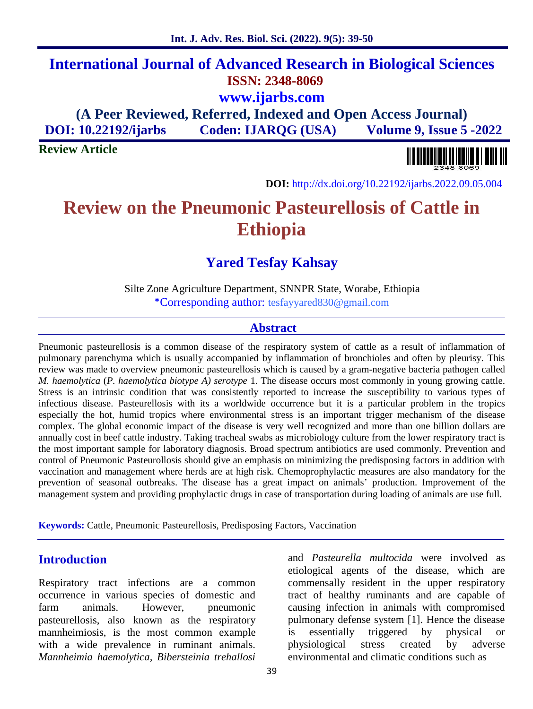# **International Journal of Advanced Research in Biological Sciences ISSN: 2348-8069 www.ijarbs.com (A Peer Reviewed, Referred, Indexed and Open Access Journal)**

**DOI: 10.22192/ijarbs Coden: IJARQG (USA) Volume 9, Issue 5 -2022**

**Review Article**



**DOI:** http://dx.doi.org/10.22192/ijarbs.2022.09.05.004

# **Review on the Pneumonic Pasteurellosis of Cattle in Ethiopia**

## **Yared Tesfay Kahsay**

Silte Zone Agriculture Department, SNNPR State, Worabe, Ethiopia \*Corresponding author: tesfayyared830@gmail.com

#### **Abstract**

Pneumonic pasteurellosis is a common disease of the respiratory system of cattle as a result of inflammation of pulmonary parenchyma which is usually accompanied by inflammation of bronchioles and often by pleurisy. This review was made to overview pneumonic pasteurellosis which is caused by a gram-negative bacteria pathogen called *M. haemolytica* (*P. haemolytica biotype A) serotype* 1. The disease occurs most commonly in young growing cattle. Stress is an intrinsic condition that was consistently reported to increase the susceptibility to various types of infectious disease. Pasteurellosis with its a worldwide occurrence but it is a particular problem in the tropics especially the hot, humid tropics where environmental stress is an important trigger mechanism of the disease complex. The global economic impact of the disease is very well recognized and more than one billion dollars are annually cost in beef cattle industry. Taking tracheal swabs as microbiology culture from the lower respiratory tract is the most important sample for laboratory diagnosis. Broad spectrum antibiotics are used commonly. Prevention and control of Pneumonic Pasteurollosis should give an emphasis on minimizing the predisposing factors in addition with vaccination and management where herds are at high risk. Chemoprophylactic measures are also mandatory for the prevention of seasonal outbreaks. The disease has a great impact on animals' production. Improvement of the management system and providing prophylactic drugs in case of transportation during loading of animals are use full.

**Keywords:** Cattle, Pneumonic Pasteurellosis, Predisposing Factors, Vaccination

## **Introduction**

Respiratory tract infections are a common occurrence in various species of domestic and farm animals. However, pneumonic pasteurellosis, also known as the respiratory mannheimiosis, is the most common example with a wide prevalence in ruminant animals. *Mannheimia haemolytica, Bibersteinia trehallosi*

and *Pasteurella multocida* were involved as etiological agents of the disease, which are commensally resident in the upper respiratory tract of healthy ruminants and are capable of causing infection in animals with compromised pulmonary defense system [1]. Hence the disease essentially triggered by physical or physiological stress created by adverse environmental and climatic conditions such as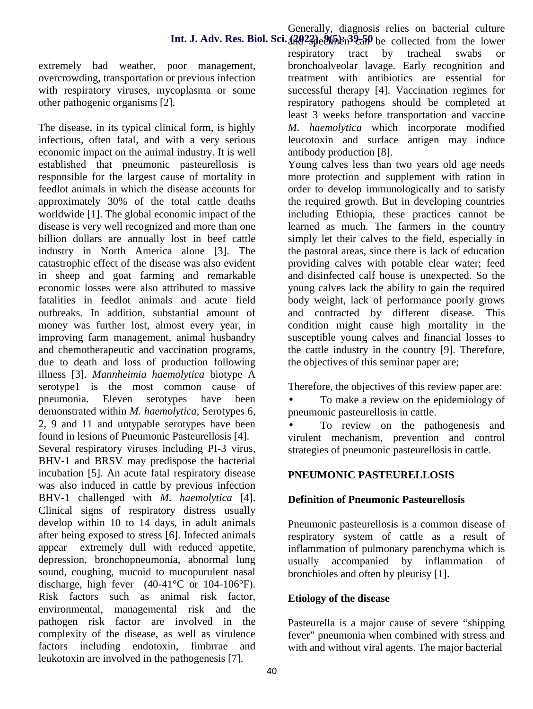extremely bad weather, poor management, overcrowding, transportation or previous infection with respiratory viruses, mycoplasma or some other pathogenic organisms [2].

The disease, in its typical clinical form, is highly infectious, often fatal, and with a very serious economic impact on the animal industry. It is well established that pneumonic pasteurellosis is responsible for the largest cause of mortality in feedlot animals in which the disease accounts for approximately 30% of the total cattle deaths worldwide [1]. The global economic impact of the disease is very well recognized and more than one billion dollars are annually lost in beef cattle industry in North America alone [3]. The catastrophic effect of the disease was also evident in sheep and goat farming and remarkable economic losses were also attributed to massive fatalities in feedlot animals and acute field outbreaks. In addition, substantial amount of money was further lost, almost every year, in improving farm management, animal husbandry and chemotherapeutic and vaccination programs, due to death and loss of production following illness [3]. *Mannheimia haemolytica* biotype A serotype1 is the most common cause of pneumonia. Eleven serotypes have been demonstrated within *M. haemolytica*, Serotypes 6, 2, 9 and 11 and untypable serotypes have been found in lesions of Pneumonic Pasteurellosis [4]. Several respiratory viruses including PI-3 virus, BHV-1 and BRSV may predispose the bacterial incubation [5]. An acute fatal respiratory disease was also induced in cattle by previous infection BHV-1 challenged with *M. haemolytica* [4]. Clinical signs of respiratory distress usually develop within 10 to 14 days, in adult animals after being exposed to stress [6]. Infected animals appear extremely dull with reduced appetite, depression, bronchopneumonia, abnormal lung sound, coughing, mucoid to mucopurulent nasal discharge, high fever  $(40-41^{\circ}C \text{ or } 104-106^{\circ}F)$ . Risk factors such as animal risk factor, environmental, managemental risk and the pathogen risk factor are involved in the complexity of the disease, as well as virulence factors including endotoxin, fimbrrae and leukotoxin are involved in the pathogenesis [7].

respiratory tract by tracheal swabs or bronchoalveolar lavage. Early recognition and treatment with antibiotics are essential for successful therapy [4]. Vaccination regimes for respiratory pathogens should be completed at least 3 weeks before transportation and vaccine *M*. *haemolytica* which incorporate modified leucotoxin and surface antigen may induce antibody production [8].

Young calves less than two years old age needs more protection and supplement with ration in order to develop immunologically and to satisfy the required growth. But in developing countries including Ethiopia, these practices cannot be learned as much. The farmers in the country simply let their calves to the field, especially in the pastoral areas, since there is lack of education providing calves with potable clear water; feed and disinfected calf house is unexpected. So the young calves lack the ability to gain the required body weight, lack of performance poorly grows and contracted by different disease. This condition might cause high mortality in the susceptible young calves and financial losses to the cattle industry in the country [9]. Therefore, the objectives of this seminar paper are;

Therefore, the objectives of this review paper are:

 To make a review on the epidemiology of pneumonic pasteurellosis in cattle.

 To review on the pathogenesis and virulent mechanism, prevention and control strategies of pneumonic pasteurellosis in cattle.

## **PNEUMONIC PASTEURELLOSIS**

#### **Definition of Pneumonic Pasteurellosis**

Pneumonic pasteurellosis is a common disease of respiratory system of cattle as a result of inflammation of pulmonary parenchyma which is usually accompanied by inflammation of bronchioles and often by pleurisy [1].

## **Etiology of the disease**

Pasteurella is a major cause of severe "shipping fever" pneumonia when combined with stress and with and without viral agents. The major bacterial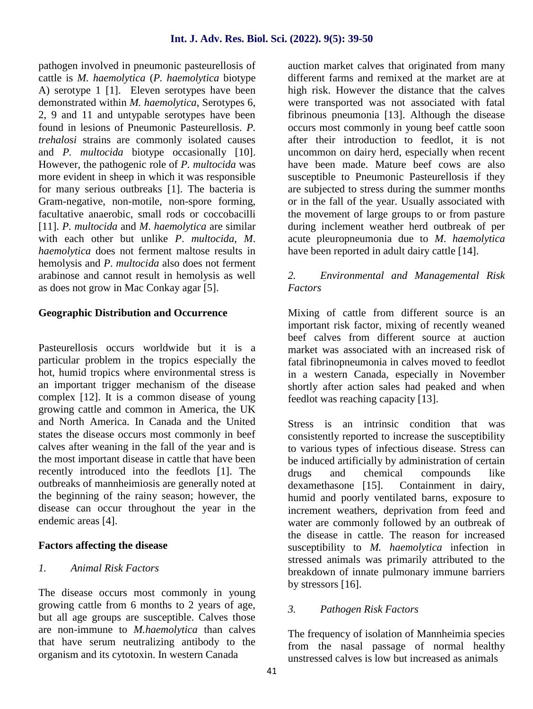pathogen involved in pneumonic pasteurellosis of cattle is *M. haemolytica* (*P. haemolytica* biotype A) serotype 1 [1]. Eleven serotypes have been demonstrated within *M. haemolytica*, Serotypes 6, 2, 9 and 11 and untypable serotypes have been found in lesions of Pneumonic Pasteurellosis. *P. trehalosi* strains are commonly isolated causes and *P. multocida* biotype occasionally [10]. However, the pathogenic role of *P. multocida* was more evident in sheep in which it was responsible for many serious outbreaks [1]. The bacteria is Gram-negative, non-motile, non-spore forming, facultative anaerobic, small rods or coccobacilli [11]. *P. multocida* and *M*. *haemolytica* are similar with each other but unlike *P*. *multocida*, *M*. *haemolytica* does not ferment maltose results in hemolysis and *P*. *multocida* also does not ferment arabinose and cannot result in hemolysis as well as does not grow in Mac Conkay agar [5].

#### **Geographic Distribution and Occurrence**

Pasteurellosis occurs worldwide but it is a particular problem in the tropics especially the hot, humid tropics where environmental stress is an important trigger mechanism of the disease complex [12]. It is a common disease of young growing cattle and common in America, the UK and North America. In Canada and the United states the disease occurs most commonly in beef calves after weaning in the fall of the year and is the most important disease in cattle that have been recently introduced into the feedlots [1]. The drugs outbreaks of mannheimiosis are generally noted at the beginning of the rainy season; however, the disease can occur throughout the year in the endemic areas [4].

#### **Factors affecting the disease**

#### *1. Animal Risk Factors*

The disease occurs most commonly in young growing cattle from 6 months to 2 years of age, but all age groups are susceptible. Calves those are non-immune to *M.haemolytica* than calves that have serum neutralizing antibody to the organism and its cytotoxin. In western Canada

auction market calves that originated from many different farms and remixed at the market are at high risk. However the distance that the calves were transported was not associated with fatal fibrinous pneumonia [13]. Although the disease occurs most commonly in young beef cattle soon after their introduction to feedlot, it is not uncommon on dairy herd, especially when recent have been made. Mature beef cows are also susceptible to Pneumonic Pasteurellosis if they are subjected to stress during the summer months or in the fall of the year. Usually associated with the movement of large groups to or from pasture during inclement weather herd outbreak of per acute pleuropneumonia due to *M*. *haemolytica* have been reported in adult dairy cattle [14].

## *2. Environmental and Managemental Risk Factors*

Mixing of cattle from different source is an important risk factor, mixing of recently weaned beef calves from different source at auction market was associated with an increased risk of fatal fibrinopneumonia in calves moved to feedlot in a western Canada, especially in November shortly after action sales had peaked and when feedlot was reaching capacity [13].

Stress is an intrinsic condition that was consistently reported to increase the susceptibility to various types of infectious disease. Stress can be induced artificially by administration of certain<br>drugs and chemical compounds like and chemical compounds like dexamethasone [15]. Containment in dairy, humid and poorly ventilated barns, exposure to increment weathers, deprivation from feed and water are commonly followed by an outbreak of the disease in cattle. The reason for increased susceptibility to *M. haemolytica* infection in stressed animals was primarily attributed to the breakdown of innate pulmonary immune barriers by stressors [16].

#### *3. Pathogen Risk Factors*

The frequency of isolation of Mannheimia species from the nasal passage of normal healthy unstressed calves is low but increased as animals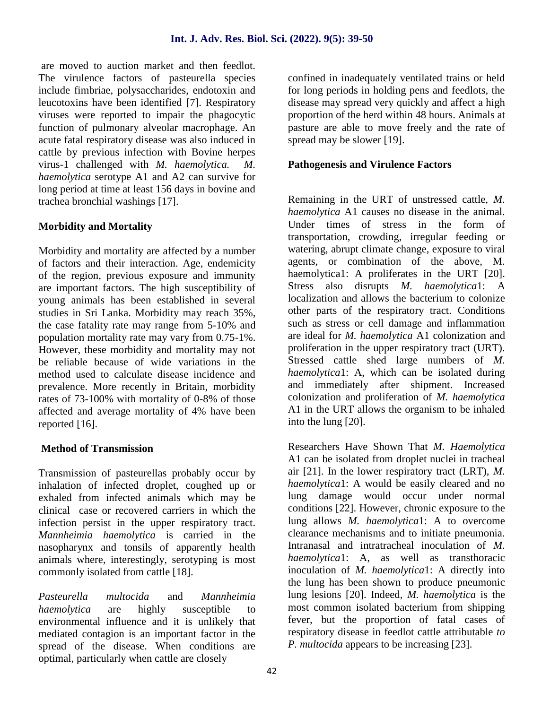are moved to auction market and then feedlot. The virulence factors of pasteurella species include fimbriae, polysaccharides, endotoxin and leucotoxins have been identified [7]. Respiratory viruses were reported to impair the phagocytic function of pulmonary alveolar macrophage. An acute fatal respiratory disease was also induced in cattle by previous infection with Bovine herpes virus-1 challenged with *M. haemolytica. M. haemolytica* serotype A1 and A2 can survive for long period at time at least 156 days in bovine and trachea bronchial washings [17].

## **Morbidity and Mortality**

Morbidity and mortality are affected by a number of factors and their interaction. Age, endemicity of the region, previous exposure and immunity are important factors. The high susceptibility of young animals has been established in several studies in Sri Lanka. Morbidity may reach 35%, the case fatality rate may range from 5-10% and population mortality rate may vary from 0.75-1%. However, these morbidity and mortality may not be reliable because of wide variations in the method used to calculate disease incidence and prevalence. More recently in Britain, morbidity rates of 73-100% with mortality of 0-8% of those affected and average mortality of 4% have been reported [16].

#### **Method of Transmission**

Transmission of pasteurellas probably occur by inhalation of infected droplet, coughed up or exhaled from infected animals which may be clinical case or recovered carriers in which the infection persist in the upper respiratory tract. *Mannheimia haemolytica* is carried in the nasopharynx and tonsils of apparently health animals where, interestingly, serotyping is most commonly isolated from cattle [18].

*Pasteurella multocida* and *Mannheimia haemolytica* are highly susceptible to environmental influence and it is unlikely that mediated contagion is an important factor in the spread of the disease. When conditions are optimal, particularly when cattle are closely

confined in inadequately ventilated trains or held for long periods in holding pens and feedlots, the disease may spread very quickly and affect a high proportion of the herd within 48 hours. Animals at pasture are able to move freely and the rate of spread may be slower [19].

#### **Pathogenesis and Virulence Factors**

Remaining in the URT of unstressed cattle, *M. haemolytica* A1 causes no disease in the animal. Under times of stress in the form of transportation, crowding, irregular feeding or watering, abrupt climate change, exposure to viral agents, or combination of the above, M. haemolytica1: A proliferates in the URT [20]. Stress also disrupts *M. haemolytica*1: A localization and allows the bacterium to colonize other parts of the respiratory tract. Conditions such as stress or cell damage and inflammation are ideal for *M. haemolytica* A1 colonization and proliferation in the upper respiratory tract (URT). Stressed cattle shed large numbers of *M. haemolytica*1: A, which can be isolated during and immediately after shipment. Increased colonization and proliferation of *M. haemolytica* A1 in the URT allows the organism to be inhaled into the lung [20].

Researchers Have Shown That *M. Haemolytica* A1 can be isolated from droplet nuclei in tracheal air [21]. In the lower respiratory tract (LRT), *M. haemolytica*1: A would be easily cleared and no lung damage would occur under normal conditions [22]. However, chronic exposure to the lung allows *M. haemolytica*1: A to overcome clearance mechanisms and to initiate pneumonia. Intranasal and intratracheal inoculation of *M. haemolytica*1: A, as well as transthoracic inoculation of *M. haemolytica*1: A directly into the lung has been shown to produce pneumonic lung lesions [20]. Indeed, *M. haemolytica* is the most common isolated bacterium from shipping fever, but the proportion of fatal cases of respiratory disease in feedlot cattle attributable *to P. multocida* appears to be increasing [23].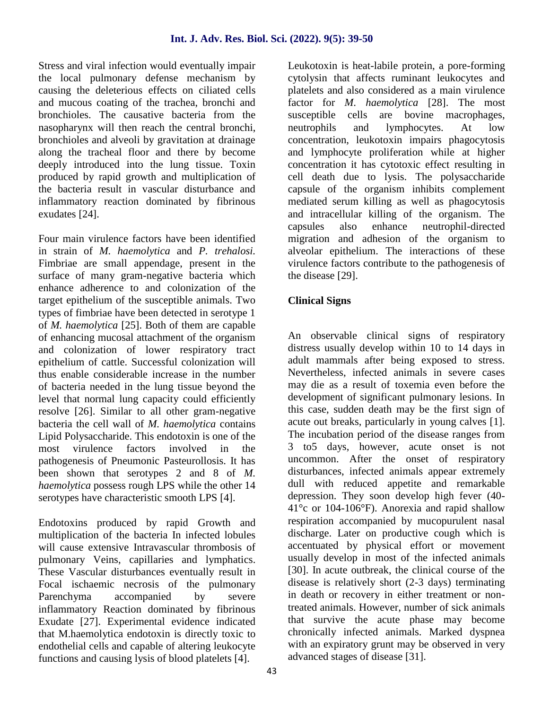Stress and viral infection would eventually impair the local pulmonary defense mechanism by causing the deleterious effects on ciliated cells and mucous coating of the trachea, bronchi and bronchioles. The causative bacteria from the nasopharynx will then reach the central bronchi, bronchioles and alveoli by gravitation at drainage along the tracheal floor and there by become deeply introduced into the lung tissue. Toxin produced by rapid growth and multiplication of the bacteria result in vascular disturbance and inflammatory reaction dominated by fibrinous exudates [24].

Four main virulence factors have been identified in strain of *M. haemolytica* and *P. trehalosi.* Fimbriae are small appendage, present in the surface of many gram-negative bacteria which enhance adherence to and colonization of the target epithelium of the susceptible animals. Two types of fimbriae have been detected in serotype 1 of *M. haemolytica* [25]. Both of them are capable of enhancing mucosal attachment of the organism and colonization of lower respiratory tract epithelium of cattle. Successful colonization will thus enable considerable increase in the number of bacteria needed in the lung tissue beyond the level that normal lung capacity could efficiently resolve [26]. Similar to all other gram-negative bacteria the cell wall of *M. haemolytica* contains Lipid Polysaccharide. This endotoxin is one of the most virulence factors involved in the pathogenesis of Pneumonic Pasteurollosis. It has been shown that serotypes 2 and 8 of *M. haemolytica* possess rough LPS while the other 14 serotypes have characteristic smooth LPS [4].

Endotoxins produced by rapid Growth and multiplication of the bacteria In infected lobules will cause extensive Intravascular thrombosis of pulmonary Veins, capillaries and lymphatics. These Vascular disturbances eventually result in Focal ischaemic necrosis of the pulmonary Parenchyma accompanied by severe inflammatory Reaction dominated by fibrinous Exudate [27]. Experimental evidence indicated that M.haemolytica endotoxin is directly toxic to endothelial cells and capable of altering leukocyte functions and causing lysis of blood platelets [4].

Leukotoxin is heat-labile protein, a pore-forming cytolysin that affects ruminant leukocytes and platelets and also considered as a main virulence factor for *M*. *haemolytica* [28]. The most are bovine macrophages, neutrophils and lymphocytes. At low concentration, leukotoxin impairs phagocytosis and lymphocyte proliferation while at higher concentration it has cytotoxic effect resulting in cell death due to lysis. The polysaccharide capsule of the organism inhibits complement mediated serum killing as well as phagocytosis and intracellular killing of the organism. The capsules also enhance neutrophil-directed migration and adhesion of the organism to alveolar epithelium. The interactions of these virulence factors contribute to the pathogenesis of the disease [29].

## **Clinical Signs**

An observable clinical signs of respiratory distress usually develop within 10 to 14 days in adult mammals after being exposed to stress. Nevertheless, infected animals in severe cases may die as a result of toxemia even before the development of significant pulmonary lesions. In this case, sudden death may be the first sign of acute out breaks, particularly in young calves [1]. The incubation period of the disease ranges from 3 to5 days, however, acute onset is not uncommon. After the onset of respiratory disturbances, infected animals appear extremely dull with reduced appetite and remarkable depression. They soon develop high fever (40- 41°c or 104-106°F). Anorexia and rapid shallow respiration accompanied by mucopurulent nasal discharge. Later on productive cough which is accentuated by physical effort or movement usually develop in most of the infected animals [30]. In acute outbreak, the clinical course of the disease is relatively short (2-3 days) terminating in death or recovery in either treatment or nontreated animals. However, number of sick animals that survive the acute phase may become chronically infected animals. Marked dyspnea with an expiratory grunt may be observed in very advanced stages of disease [31].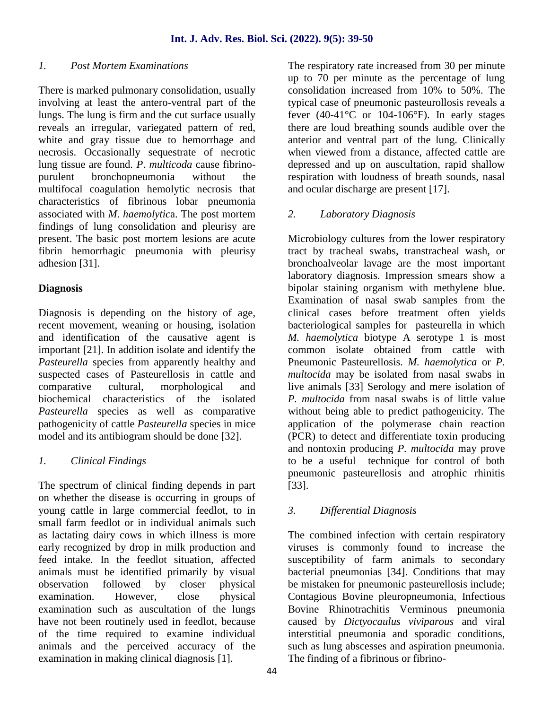#### *1. Post Mortem Examinations*

There is marked pulmonary consolidation, usually involving at least the antero-ventral part of the lungs. The lung is firm and the cut surface usually reveals an irregular, variegated pattern of red, white and gray tissue due to hemorrhage and necrosis. Occasionally sequestrate of necrotic lung tissue are found. *P*. *multicoda* cause fibrino purulent bronchopneumonia without the multifocal coagulation hemolytic necrosis that characteristics of fibrinous lobar pneumonia associated with *M*. *haemolytic*a. The post mortem findings of lung consolidation and pleurisy are present. The basic post mortem lesions are acute fibrin hemorrhagic pneumonia with pleurisy adhesion [31].

#### **Diagnosis**

Diagnosis is depending on the history of age, recent movement, weaning or housing, isolation and identification of the causative agent is important [21]. In addition isolate and identify the *Pasteurella* species from apparently healthy and suspected cases of Pasteurellosis in cattle and comparative cultural, morphological and biochemical characteristics of the isolated *Pasteurella* species as well as comparative pathogenicity of cattle *Pasteurella* species in mice model and its antibiogram should be done [32].

#### *1. Clinical Findings*

The spectrum of clinical finding depends in part on whether the disease is occurring in groups of young cattle in large commercial feedlot, to in small farm feedlot or in individual animals such as lactating dairy cows in which illness is more early recognized by drop in milk production and feed intake. In the feedlot situation, affected animals must be identified primarily by visual observation followed by closer physical examination. However, close physical examination such as auscultation of the lungs have not been routinely used in feedlot, because of the time required to examine individual animals and the perceived accuracy of the examination in making clinical diagnosis [1].

The respiratory rate increased from 30 per minute up to 70 per minute as the percentage of lung consolidation increased from 10% to 50%. The typical case of pneumonic pasteurollosis reveals a fever  $(40-41^{\circ}C)$  or  $104-106^{\circ}F$ ). In early stages there are loud breathing sounds audible over the anterior and ventral part of the lung. Clinically when viewed from a distance, affected cattle are depressed and up on auscultation, rapid shallow respiration with loudness of breath sounds, nasal and ocular discharge are present [17].

## *2. Laboratory Diagnosis*

Microbiology cultures from the lower respiratory tract by tracheal swabs, transtracheal wash, or bronchoalveolar lavage are the most important laboratory diagnosis. Impression smears show a bipolar staining organism with methylene blue. Examination of nasal swab samples from the clinical cases before treatment often yields bacteriological samples for pasteurella in which *M. haemolytica* biotype A serotype 1 is most common isolate obtained from cattle with Pneumonic Pasteurellosis. *M. haemolytica* or*P. multocida* may be isolated from nasal swabs in live animals [33] Serology and mere isolation of *P. multocida* from nasal swabs is of little value without being able to predict pathogenicity. The application of the polymerase chain reaction (PCR) to detect and differentiate toxin producing and nontoxin producing *P. multocida* may prove to be a useful technique for control of both pneumonic pasteurellosis and atrophic rhinitis [33].

## *3. Differential Diagnosis*

The combined infection with certain respiratory viruses is commonly found to increase the susceptibility of farm animals to secondary bacterial pneumonias [34]. Conditions that may be mistaken for pneumonic pasteurellosis include; Contagious Bovine pleuropneumonia, Infectious Bovine Rhinotrachitis Verminous pneumonia caused by *Dictyocaulus viviparous* and viral interstitial pneumonia and sporadic conditions, such as lung abscesses and aspiration pneumonia. The finding of a fibrinous or fibrino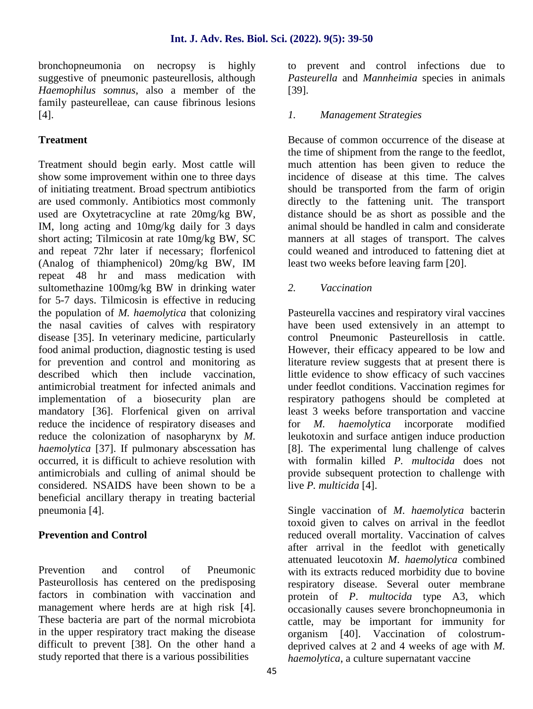bronchopneumonia on necropsy is highly suggestive of pneumonic pasteurellosis, although *Haemophilus somnus*, also a member of the family pasteurelleae, can cause fibrinous lesions [4].

## **Treatment**

Treatment should begin early. Most cattle will show some improvement within one to three days of initiating treatment. Broad spectrum antibiotics are used commonly. Antibiotics most commonly used are Oxytetracycline at rate 20mg/kg BW, IM, long acting and 10mg/kg daily for 3 days short acting; Tilmicosin at rate 10mg/kg BW, SC and repeat 72hr later if necessary; florfenicol (Analog of thiamphenicol) 20mg/kg BW, IM repeat 48 hr and mass medication with sultomethazine 100mg/kg BW in drinking water for 5-7 days. Tilmicosin is effective in reducing the population of *M. haemolytica* that colonizing the nasal cavities of calves with respiratory disease [35]. In veterinary medicine, particularly food animal production, diagnostic testing is used for prevention and control and monitoring as described which then include vaccination, antimicrobial treatment for infected animals and implementation of a biosecurity plan are mandatory [36]. Florfenical given on arrival reduce the incidence of respiratory diseases and for M. reduce the colonization of nasopharynx by *M. haemolytica* [37]. If pulmonary abscessation has occurred, it is difficult to achieve resolution with antimicrobials and culling of animal should be considered. NSAIDS have been shown to be a beneficial ancillary therapy in treating bacterial pneumonia [4].

## **Prevention and Control**

Prevention and control of Pneumonic Pasteurollosis has centered on the predisposing factors in combination with vaccination and management where herds are at high risk [4]. These bacteria are part of the normal microbiota in the upper respiratory tract making the disease difficult to prevent [38]. On the other hand a study reported that there is a various possibilities

to prevent and control infections due to *Pasteurella* and *Mannheimia* species in animals [39].

## *1. Management Strategies*

Because of common occurrence of the disease at the time of shipment from the range to the feedlot, much attention has been given to reduce the incidence of disease at this time. The calves should be transported from the farm of origin directly to the fattening unit. The transport distance should be as short as possible and the animal should be handled in calm and considerate manners at all stages of transport. The calves could weaned and introduced to fattening diet at least two weeks before leaving farm [20].

## *2. Vaccination*

Pasteurella vaccines and respiratory viral vaccines have been used extensively in an attempt to control Pneumonic Pasteurellosis in cattle. However, their efficacy appeared to be low and literature review suggests that at present there is little evidence to show efficacy of such vaccines under feedlot conditions. Vaccination regimes for respiratory pathogens should be completed at least 3 weeks before transportation and vaccine *haemolytica* incorporate modified leukotoxin and surface antigen induce production [8]. The experimental lung challenge of calves with formalin killed *P. multocida* does not provide subsequent protection to challenge with live *P. multicida* [4].

Single vaccination of *M*. *haemolytica* bacterin toxoid given to calves on arrival in the feedlot reduced overall mortality. Vaccination of calves after arrival in the feedlot with genetically attenuated leucotoxin *M*. *haemolytica* combined with its extracts reduced morbidity due to bovine respiratory disease. Several outer membrane protein of *P*. *multocida* type A3, which occasionally causes severe bronchopneumonia in cattle, may be important for immunity for organism [40]. Vaccination of colostrum deprived calves at 2 and 4 weeks of age with *M. haemolytica*, a culture supernatant vaccine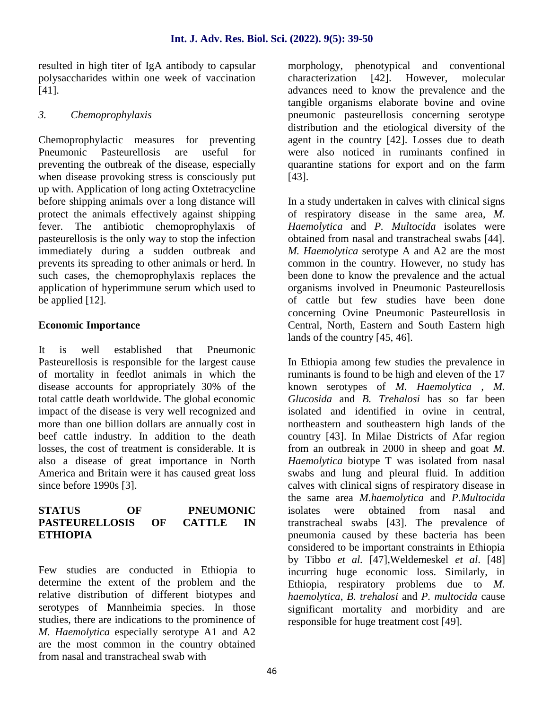resulted in high titer of IgA antibody to capsular polysaccharides within one week of vaccination [41].

#### *3. Chemoprophylaxis*

Chemoprophylactic measures for preventing Pneumonic Pasteurellosis are useful for preventing the outbreak of the disease, especially when disease provoking stress is consciously put up with. Application of long acting Oxtetracycline before shipping animals over a long distance will protect the animals effectively against shipping fever. The antibiotic chemoprophylaxis of pasteurellosis is the only way to stop the infection immediately during a sudden outbreak and prevents its spreading to other animals or herd. In such cases, the chemoprophylaxis replaces the application of hyperimmune serum which used to be applied [12].

#### **Economic Importance**

It is well established that Pneumonic Pasteurellosis is responsible for the largest cause of mortality in feedlot animals in which the disease accounts for appropriately 30% of the total cattle death worldwide. The global economic impact of the disease is very well recognized and more than one billion dollars are annually cost in beef cattle industry. In addition to the death losses, the cost of treatment is considerable. It is also a disease of great importance in North America and Britain were it has caused great loss since before 1990s [3].

#### **STATUS OF PNEUMONIC PASTEURELLOSIS OF CATTLE IN ETHIOPIA**

Few studies are conducted in Ethiopia to determine the extent of the problem and the relative distribution of different biotypes and serotypes of Mannheimia species. In those studies, there are indications to the prominence of *M. Haemolytica* especially serotype A1 and A2 are the most common in the country obtained from nasal and transtracheal swab with

morphology, phenotypical and conventional characterization [42]. However, molecular advances need to know the prevalence and the tangible organisms elaborate bovine and ovine pneumonic pasteurellosis concerning serotype distribution and the etiological diversity of the agent in the country [42]. Losses due to death were also noticed in ruminants confined in quarantine stations for export and on the farm [43].

In a study undertaken in calves with clinical signs of respiratory disease in the same area, *M. Haemolytica* and *P. Multocida* isolates were obtained from nasal and transtracheal swabs [44]. *M. Haemolytica* serotype A and A2 are the most common in the country. However, no study has been done to know the prevalence and the actual organisms involved in Pneumonic Pasteurellosis of cattle but few studies have been done concerning Ovine Pneumonic Pasteurellosis in Central, North, Eastern and South Eastern high lands of the country [45, 46].

In Ethiopia among few studies the prevalence in ruminants is found to be high and eleven of the 17 known serotypes of *M. Haemolytica , M. Glucosida* and *B. Trehalosi* has so far been isolated and identified in ovine in central, northeastern and southeastern high lands of the country [43]. In Milae Districts of Afar region from an outbreak in 2000 in sheep and goat *M. Haemolytica* biotype T was isolated from nasal swabs and lung and pleural fluid. In addition calves with clinical signs of respiratory disease in the same area *M.haemolytica* and *P.Multocida* were obtained from nasal and transtracheal swabs [43]. The prevalence of pneumonia caused by these bacteria has been considered to be important constraints in Ethiopia by Tibbo *et al.* [47],Weldemeskel *et al*. [48] incurring huge economic loss. Similarly, in Ethiopia, respiratory problems due to *M. haemolytica*, *B. trehalosi* and *P. multocida* cause significant mortality and morbidity and are responsible for huge treatment cost [49].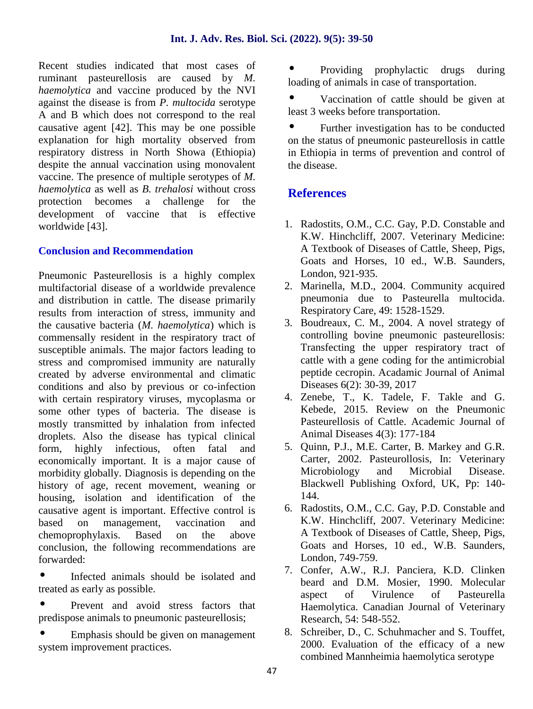Recent studies indicated that most cases of ruminant pasteurellosis are caused by *M. haemolytica* and vaccine produced by the NVI against the disease is from *P. multocida* serotype A and B which does not correspond to the real causative agent [42]. This may be one possible explanation for high mortality observed from respiratory distress in North Showa (Ethiopia) despite the annual vaccination using monovalent vaccine. The presence of multiple serotypes of *M. haemolytica* as well as *B. trehalosi* without cross protection becomes a challenge for the development of vaccine that is effective worldwide [43].

#### **Conclusion and Recommendation**

Pneumonic Pasteurellosis is a highly complex multifactorial disease of a worldwide prevalence and distribution in cattle. The disease primarily results from interaction of stress, immunity and the causative bacteria (*M. haemolytica*) which is commensally resident in the respiratory tract of susceptible animals. The major factors leading to stress and compromised immunity are naturally created by adverse environmental and climatic conditions and also by previous or co-infection with certain respiratory viruses, mycoplasma or some other types of bacteria. The disease is mostly transmitted by inhalation from infected droplets. Also the disease has typical clinical form, highly infectious, often fatal and economically important. It is a major cause of morbidity globally. Diagnosis is depending on the history of age, recent movement, weaning or housing, isolation and identification of the causative agent is important. Effective control is based on management, vaccination and chemoprophylaxis. Based on the above conclusion, the following recommendations are forwarded:

 Infected animals should be isolated and treated as early as possible.

 Prevent and avoid stress factors that predispose animals to pneumonic pasteurellosis;

 Emphasis should be given on management system improvement practices.

 Providing prophylactic drugs during loading of animals in case of transportation.

 Vaccination of cattle should be given at least 3 weeks before transportation.

 Further investigation has to be conducted on the status of pneumonic pasteurellosis in cattle in Ethiopia in terms of prevention and control of the disease.

## **References**

- 1. Radostits, O.M., C.C. Gay, P.D. Constable and K.W. Hinchcliff, 2007. Veterinary Medicine: A Textbook of Diseases of Cattle, Sheep, Pigs, Goats and Horses, 10 ed., W.B. Saunders, London, 921-935.
- 2. Marinella, M.D., 2004. Community acquired pneumonia due to Pasteurella multocida. Respiratory Care, 49: 1528-1529.
- 3. Boudreaux, C. M., 2004. A novel strategy of controlling bovine pneumonic pasteurellosis: Transfecting the upper respiratory tract of cattle with a gene coding for the antimicrobial peptide cecropin. Acadamic Journal of Animal Diseases 6(2): 30-39, 2017
- 4. Zenebe, T., K. Tadele, F. Takle and G. Kebede, 2015. Review on the Pneumonic Pasteurellosis of Cattle. Academic Journal of Animal Diseases 4(3): 177-184
- 5. Quinn, P.J., M.E. Carter, B. Markey and G.R. Carter, 2002. Pasteurollosis, In: Veterinary Microbiology and Microbial Disease. Blackwell Publishing Oxford, UK, Pp: 140- 144.
- 6. Radostits, O.M., C.C. Gay, P.D. Constable and K.W. Hinchcliff, 2007. Veterinary Medicine: A Textbook of Diseases of Cattle, Sheep, Pigs, Goats and Horses, 10 ed., W.B. Saunders, London, 749-759.
- 7. Confer, A.W., R.J. Panciera, K.D. Clinken beard and D.M. Mosier, 1990. Molecular aspect of Virulence of Pasteurella Haemolytica. Canadian Journal of Veterinary Research, 54: 548-552.
- 8. Schreiber, D., C. Schuhmacher and S. Touffet, 2000. Evaluation of the efficacy of a new combined Mannheimia haemolytica serotype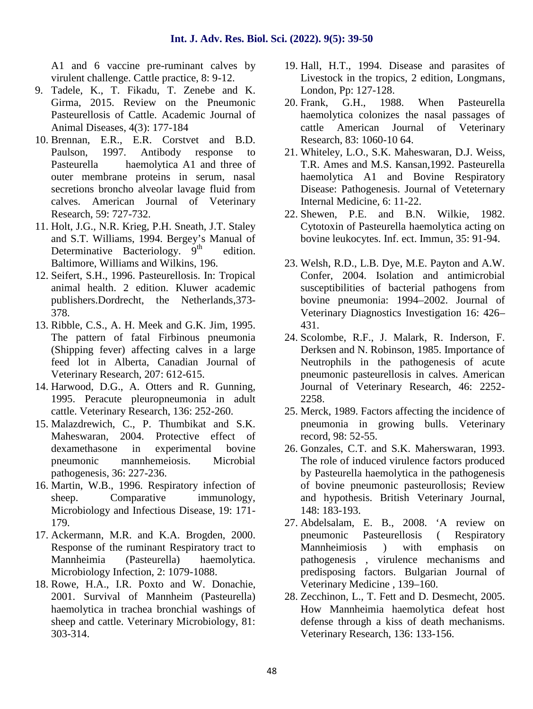A1 and 6 vaccine pre-ruminant calves by virulent challenge. Cattle practice, 8: 9-12.

- 9. Tadele, K., T. Fikadu, T. Zenebe and K. Girma, 2015. Review on the Pneumonic 20. Frank, Pasteurellosis of Cattle. Academic Journal of Animal Diseases, 4(3): 177-184
- 10. Brennan, E.R., E.R. Corstvet and B.D. Paulson, 1997. Antibody response to Pasteurella haemolytica A1 and three of outer membrane proteins in serum, nasal secretions broncho alveolar lavage fluid from calves. American Journal of Veterinary Research, 59: 727-732.
- 11. Holt, J.G., N.R. Krieg, P.H. Sneath, J.T. Staley and S.T. Williams, 1994. Bergey's Manual of Determinative Bacteriology.  $9<sup>th</sup>$  edition. Baltimore, Williams and Wilkins, 196.
- 12. Seifert, S.H., 1996. Pasteurellosis. In: Tropical animal health. 2 edition. Kluwer academic publishers.Dordrecht, the Netherlands,373- 378.
- 13. Ribble, C.S., A. H. Meek and G.K. Jim, 1995. The pattern of fatal Firbinous pneumonia (Shipping fever) affecting calves in a large feed lot in Alberta, Canadian Journal of Veterinary Research, 207: 612-615.
- 14. Harwood, D.G., A. Otters and R. Gunning, 1995. Peracute pleuropneumonia in adult cattle. Veterinary Research, 136: 252-260.
- 15. Malazdrewich, C., P. Thumbikat and S.K. Maheswaran, 2004. Protective effect of dexamethasone in experimental bovine pneumonic mannhemeiosis. Microbial pathogenesis, 36: 227-236.
- 16. Martin, W.B., 1996. Respiratory infection of sheep. Comparative immunology, Microbiology and Infectious Disease, 19: 171- 179.
- 17. Ackermann, M.R. and K.A. Brogden, 2000. Response of the ruminant Respiratory tract to Mannheimia (Pasteurella) haemolytica. Microbiology Infection, 2: 1079-1088.
- 18. Rowe, H.A., I.R. Poxto and W. Donachie, 2001. Survival of Mannheim (Pasteurella) haemolytica in trachea bronchial washings of sheep and cattle. Veterinary Microbiology, 81: 303-314.
- 19. Hall, H.T., 1994. Disease and parasites of Livestock in the tropics, 2 edition, Longmans, London, Pp: 127-128.
- G.H., 1988. When Pasteurella haemolytica colonizes the nasal passages of cattle American Journal of Veterinary Research, 83: 1060-10 64.
- 21. Whiteley, L.O., S.K. Maheswaran, D.J. Weiss, T.R. Ames and M.S. Kansan,1992. Pasteurella haemolytica A1 and Bovine Respiratory Disease: Pathogenesis. Journal of Veteternary Internal Medicine, 6: 11-22.
- 22. Shewen, P.E. and B.N. Wilkie, 1982. Cytotoxin of Pasteurella haemolytica acting on bovine leukocytes. Inf. ect. Immun, 35: 91-94.
- 23. Welsh, R.D., L.B. Dye, M.E. Payton and A.W. Confer, 2004. Isolation and antimicrobial susceptibilities of bacterial pathogens from bovine pneumonia: 1994–2002. Journal of Veterinary Diagnostics Investigation 16: 426– 431.
- 24. Scolombe, R.F., J. Malark, R. Inderson, F. Derksen and N. Robinson, 1985. Importance of Neutrophils in the pathogenesis of acute pneumonic pasteurellosis in calves. American Journal of Veterinary Research, 46: 2252- 2258.
- 25. Merck, 1989. Factors affecting the incidence of pneumonia in growing bulls. Veterinary record, 98: 52-55.
- 26. Gonzales, C.T. and S.K. Maherswaran, 1993. The role of induced virulence factors produced by Pasteurella haemolytica in the pathogenesis of bovine pneumonic pasteurollosis; Review and hypothesis. British Veterinary Journal, 148: 183-193.
- 27. Abdelsalam, E. B., 2008. 'A review on pneumonic Pasteurellosis ( Respiratory Mannheimiosis ) with emphasis on pathogenesis , virulence mechanisms and predisposing factors. Bulgarian Journal of Veterinary Medicine , 139–160.
- 28. Zecchinon, L., T. Fett and D. Desmecht, 2005. How Mannheimia haemolytica defeat host defense through a kiss of death mechanisms. Veterinary Research, 136: 133-156.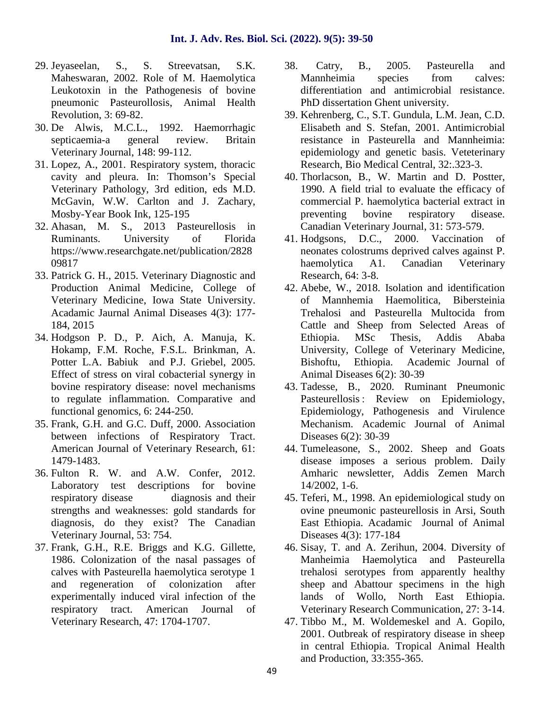- 29. Jeyaseelan, S., S. Streevatsan, S.K. Maheswaran, 2002. Role of M. Haemolytica Leukotoxin in the Pathogenesis of bovine pneumonic Pasteurollosis, Animal Health Revolution, 3: 69-82.
- 30. De Alwis, M.C.L., 1992. Haemorrhagic septicaemia-a general review. Britain Veterinary Journal, 148: 99-112.
- 31. Lopez, A., 2001. Respiratory system, thoracic cavity and pleura. In: Thomson's Special Veterinary Pathology, 3rd edition, eds M.D. McGavin, W.W. Carlton and J. Zachary, Mosby-Year Book Ink, 125-195
- 32. Ahasan, M. S., 2013 Pasteurellosis in Ruminants. University of Florida https://www.researchgate.net/publication/2828 09817
- 33. Patrick G. H., 2015. Veterinary Diagnostic and Production Animal Medicine, College of Veterinary Medicine, Iowa State University. Acadamic Jaurnal Animal Diseases 4(3): 177- 184, 2015
- 34. Hodgson P. D., P. Aich, A. Manuja, K. Hokamp, F.M. Roche, F.S.L. Brinkman, A. Potter L.A. Babiuk and P.J. Griebel, 2005. Effect of stress on viral cobacterial synergy in bovine respiratory disease: novel mechanisms to regulate inflammation. Comparative and functional genomics, 6: 244-250.
- 35. Frank, G.H. and G.C. Duff, 2000. Association between infections of Respiratory Tract. American Journal of Veterinary Research, 61: 1479-1483.
- 36. Fulton R. W. and A.W. Confer, 2012. Laboratory test descriptions for bovine respiratory disease diagnosis and their strengths and weaknesses: gold standards for diagnosis, do they exist? The Canadian Veterinary Journal, 53: 754.
- 37. Frank, G.H., R.E. Briggs and K.G. Gillette, 1986. Colonization of the nasal passages of calves with Pasteurella haemolytica serotype 1 and regeneration of colonization after experimentally induced viral infection of the respiratory tract. American Journal of Veterinary Research, 47: 1704-1707.
- 38. Catry, B., 2005. Pasteurella and Mannheimia species from calves: differentiation and antimicrobial resistance. PhD dissertation Ghent university.
- 39. Kehrenberg, C., S.T. Gundula, L.M. Jean, C.D. Elisabeth and S. Stefan, 2001. Antimicrobial resistance in Pasteurella and Mannheimia: epidemiology and genetic basis. Veteterinary Research, Bio Medical Central, 32:.323-3.
- 40. Thorlacson, B., W. Martin and D. Postter, 1990. A field trial to evaluate the efficacy of commercial P. haemolytica bacterial extract in preventing bovine respiratory disease. Canadian Veterinary Journal, 31: 573-579.
- 41. Hodgsons, D.C., 2000. Vaccination of neonates colostrums deprived calves against P. haemolytica A1. Canadian Veterinary Research, 64: 3-8.
- 42. Abebe, W., 2018. Isolation and identification of Mannhemia Haemolitica, Bibersteinia Trehalosi and Pasteurella Multocida from Cattle and Sheep from Selected Areas of Ethiopia. MSc Thesis, Addis Ababa University, College of Veterinary Medicine, Bishoftu, Ethiopia. Academic Journal of Animal Diseases 6(2): 30-39
- 43. Tadesse, B., 2020. Ruminant Pneumonic Pasteurellosis : Review on Epidemiology, Epidemiology, Pathogenesis and Virulence Mechanism. Academic Journal of Animal Diseases 6(2): 30-39
- 44. Tumeleasone, S., 2002. Sheep and Goats disease imposes a serious problem. Daily Amharic newsletter, Addis Zemen March 14/2002, 1-6.
- 45. Teferi, M., 1998. An epidemiological study on ovine pneumonic pasteurellosis in Arsi, South East Ethiopia. Acadamic Journal of Animal Diseases 4(3): 177-184
- 46. Sisay, T. and A. Zerihun, 2004. Diversity of Manheimia Haemolytica and Pasteurella trehalosi serotypes from apparently healthy sheep and Abattour specimens in the high lands of Wollo, North East Ethiopia. Veterinary Research Communication, 27: 3-14.
- 47. Tibbo M., M. Woldemeskel and A. Gopilo, 2001. Outbreak of respiratory disease in sheep in central Ethiopia. Tropical Animal Health and Production, 33:355-365.